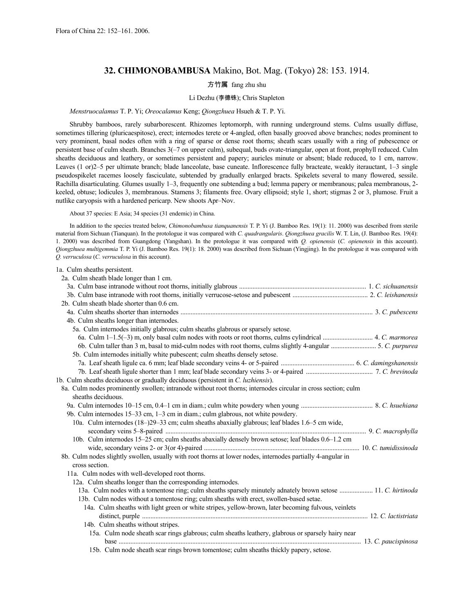# **32. CHIMONOBAMBUSA** Makino, Bot. Mag. (Tokyo) 28: 153. 1914.

# 方竹属 fang zhu shu

# Li Dezhu (李德铢); Chris Stapleton

# *Menstruocalamus* T. P. Yi; *Oreocalamus* Keng; *Qiongzhuea* Hsueh & T. P. Yi.

Shrubby bamboos, rarely subarborescent. Rhizomes leptomorph, with running underground stems. Culms usually diffuse, sometimes tillering (pluricaespitose), erect; internodes terete or 4-angled, often basally grooved above branches; nodes prominent to very prominent, basal nodes often with a ring of sparse or dense root thorns; sheath scars usually with a ring of pubescence or persistent base of culm sheath. Branches 3(–7 on upper culm), subequal, buds ovate-triangular, open at front, prophyll reduced. Culm sheaths deciduous and leathery, or sometimes persistent and papery; auricles minute or absent; blade reduced, to 1 cm, narrow. Leaves (1 or)2–5 per ultimate branch; blade lanceolate, base cuneate. Inflorescence fully bracteate, weakly iterauctant, 1–3 single pseudospikelet racemes loosely fasciculate, subtended by gradually enlarged bracts. Spikelets several to many flowered, sessile. Rachilla disarticulating. Glumes usually 1–3, frequently one subtending a bud; lemma papery or membranous; palea membranous, 2 keeled, obtuse; lodicules 3, membranous. Stamens 3; filaments free. Ovary ellipsoid; style 1, short; stigmas 2 or 3, plumose. Fruit a nutlike caryopsis with a hardened pericarp. New shoots Apr–Nov.

About 37 species: E Asia; 34 species (31 endemic) in China.

In addition to the species treated below, *Chimonobambusa tianquanensis* T. P. Yi (J. Bamboo Res. 19(1): 11. 2000) was described from sterile material from Sichuan (Tianquan). In the protologue it was compared with *C. quadrangularis*. *Qiongzhuea gracilis* W. T. Lin, (J. Bamboo Res. 19(4): 1. 2000) was described from Guangdong (Yangshan). In the protologue it was compared with *Q. opienensis* (*C. opienensis* in this account). *Qiongzhuea multigemmia* T. P. Yi (J. Bamboo Res. 19(1): 18. 2000) was described from Sichuan (Yingjing). In the protologue it was compared with *Q. verruculosa* (*C. verruculosa* in this account).

| 1a. Culm sheaths persistent.                                                                                  |  |
|---------------------------------------------------------------------------------------------------------------|--|
| 2a. Culm sheath blade longer than 1 cm.                                                                       |  |
|                                                                                                               |  |
|                                                                                                               |  |
| 2b. Culm sheath blade shorter than 0.6 cm.                                                                    |  |
|                                                                                                               |  |
| 4b. Culm sheaths longer than internodes.                                                                      |  |
| 5a. Culm internodes initially glabrous; culm sheaths glabrous or sparsely setose.                             |  |
|                                                                                                               |  |
|                                                                                                               |  |
| 5b. Culm internodes initially white pubescent; culm sheaths densely setose.                                   |  |
|                                                                                                               |  |
|                                                                                                               |  |
| 1b. Culm sheaths deciduous or gradually deciduous (persistent in C. luzhiensis).                              |  |
| 8a. Culm nodes prominently swollen; intranode without root thorns; internodes circular in cross section; culm |  |
| sheaths deciduous.                                                                                            |  |
|                                                                                                               |  |
| 9b. Culm internodes 15–33 cm, 1–3 cm in diam.; culm glabrous, not white powdery.                              |  |
| 10a. Culm internodes (18–)29–33 cm; culm sheaths abaxially glabrous; leaf blades 1.6–5 cm wide,               |  |
|                                                                                                               |  |
| 10b. Culm internodes 15-25 cm; culm sheaths abaxially densely brown setose; leaf blades 0.6-1.2 cm            |  |
|                                                                                                               |  |
| 8b. Culm nodes slightly swollen, usually with root thorns at lower nodes, internodes partially 4-angular in   |  |
| cross section.                                                                                                |  |
| 11a. Culm nodes with well-developed root thorns.                                                              |  |
| 12a. Culm sheaths longer than the corresponding internodes.                                                   |  |
| 13a. Culm nodes with a tomentose ring; culm sheaths sparsely minutely adnately brown setose  11. C. hirtinoda |  |
| 13b. Culm nodes without a tomentose ring; culm sheaths with erect, swollen-based setae.                       |  |
| 14a. Culm sheaths with light green or white stripes, yellow-brown, later becoming fulvous, veinlets           |  |
|                                                                                                               |  |
| 14b. Culm sheaths without stripes.                                                                            |  |
| 15a. Culm node sheath scar rings glabrous; culm sheaths leathery, glabrous or sparsely hairy near             |  |
|                                                                                                               |  |
| 15b. Culm node sheath scar rings brown tomentose; culm sheaths thickly papery, setose.                        |  |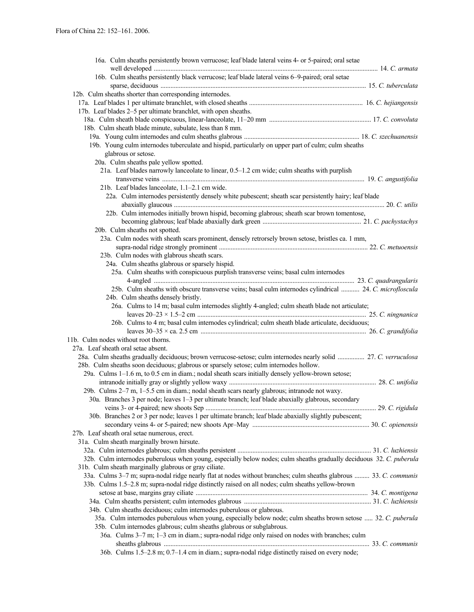| 16a. Culm sheaths persistently brown verrucose; leaf blade lateral veins 4- or 5-paired; oral setae                  |  |
|----------------------------------------------------------------------------------------------------------------------|--|
|                                                                                                                      |  |
| 16b. Culm sheaths persistently black verrucose; leaf blade lateral veins 6-9-paired; oral setae                      |  |
|                                                                                                                      |  |
| 12b. Culm sheaths shorter than corresponding internodes.                                                             |  |
|                                                                                                                      |  |
| 17b. Leaf blades 2–5 per ultimate branchlet, with open sheaths.                                                      |  |
|                                                                                                                      |  |
| 18b. Culm sheath blade minute, subulate, less than 8 mm.                                                             |  |
|                                                                                                                      |  |
| 19b. Young culm internodes tuberculate and hispid, particularly on upper part of culm; culm sheaths                  |  |
| glabrous or setose.                                                                                                  |  |
| 20a. Culm sheaths pale yellow spotted.                                                                               |  |
| 21a. Leaf blades narrowly lanceolate to linear, 0.5-1.2 cm wide; culm sheaths with purplish                          |  |
|                                                                                                                      |  |
| 21b. Leaf blades lanceolate, 1.1-2.1 cm wide.                                                                        |  |
| 22a. Culm internodes persistently densely white pubescent; sheath scar persistently hairy; leaf blade                |  |
|                                                                                                                      |  |
| 22b. Culm internodes initially brown hispid, becoming glabrous; sheath scar brown tomentose,                         |  |
|                                                                                                                      |  |
| 20b. Culm sheaths not spotted.                                                                                       |  |
| 23a. Culm nodes with sheath scars prominent, densely retrorsely brown setose, bristles ca. 1 mm,                     |  |
|                                                                                                                      |  |
| 23b. Culm nodes with glabrous sheath scars.                                                                          |  |
| 24a. Culm sheaths glabrous or sparsely hispid.                                                                       |  |
| 25a. Culm sheaths with conspicuous purplish transverse veins; basal culm internodes                                  |  |
|                                                                                                                      |  |
| 25b. Culm sheaths with obscure transverse veins; basal culm internodes cylindrical  24. C. microfloscula             |  |
| 24b. Culm sheaths densely bristly.                                                                                   |  |
| 26a. Culms to 14 m; basal culm internodes slightly 4-angled; culm sheath blade not articulate;                       |  |
|                                                                                                                      |  |
| 26b. Culms to 4 m; basal culm internodes cylindrical; culm sheath blade articulate, deciduous;                       |  |
|                                                                                                                      |  |
| 11b. Culm nodes without root thorns.                                                                                 |  |
| 27a. Leaf sheath oral setae absent.                                                                                  |  |
| 28a. Culm sheaths gradually deciduous; brown verrucose-setose; culm internodes nearly solid  27. C. verruculosa      |  |
| 28b. Culm sheaths soon deciduous; glabrous or sparsely setose; culm internodes hollow.                               |  |
| 29a. Culms 1–1.6 m, to 0.5 cm in diam.; nodal sheath scars initially densely yellow-brown setose;                    |  |
|                                                                                                                      |  |
| 29b. Culms 2–7 m, 1–5.5 cm in diam.; nodal sheath scars nearly glabrous; intranode not waxy.                         |  |
| 30a. Branches 3 per node; leaves 1–3 per ultimate branch; leaf blade abaxially glabrous, secondary                   |  |
|                                                                                                                      |  |
| 30b. Branches 2 or 3 per node; leaves 1 per ultimate branch; leaf blade abaxially slightly pubescent;                |  |
|                                                                                                                      |  |
| 27b. Leaf sheath oral setae numerous, erect.                                                                         |  |
| 31a. Culm sheath marginally brown hirsute.                                                                           |  |
|                                                                                                                      |  |
| 32b. Culm internodes puberulous when young, especially below nodes; culm sheaths gradually deciduous 32. C. puberula |  |
| 31b. Culm sheath marginally glabrous or gray ciliate.                                                                |  |
| 33a. Culms 3-7 m; supra-nodal ridge nearly flat at nodes without branches; culm sheaths glabrous  33. C. communis    |  |
| 33b. Culms 1.5–2.8 m; supra-nodal ridge distinctly raised on all nodes; culm sheaths yellow-brown                    |  |
|                                                                                                                      |  |
|                                                                                                                      |  |
| 34b. Culm sheaths deciduous; culm internodes puberulous or glabrous.                                                 |  |
| 35a. Culm internodes puberulous when young, especially below node; culm sheaths brown setose  32. C. puberula        |  |
| 35b. Culm internodes glabrous; culm sheaths glabrous or subglabrous.                                                 |  |
| 36a. Culms 3-7 m; 1-3 cm in diam.; supra-nodal ridge only raised on nodes with branches; culm                        |  |
|                                                                                                                      |  |
| 36b. Culms 1.5–2.8 m; 0.7–1.4 cm in diam.; supra-nodal ridge distinctly raised on every node;                        |  |
|                                                                                                                      |  |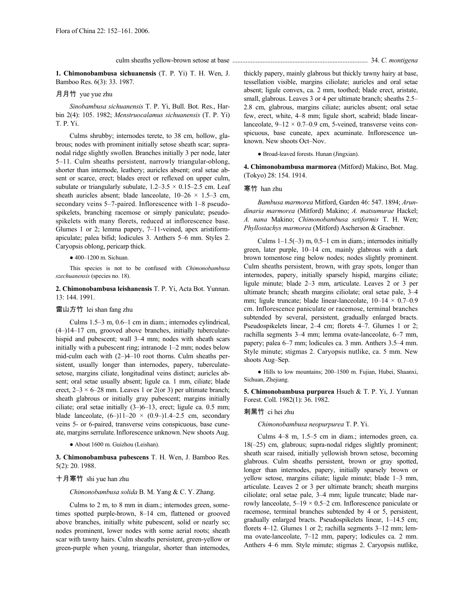**1. Chimonobambusa sichuanensis** (T. P. Yi) T. H. Wen, J. Bamboo Res. 6(3): 33. 1987.

# 月月竹 yue yue zhu

*Sinobambusa sichuanensis* T. P. Yi, Bull. Bot. Res., Harbin 2(4): 105. 1982; *Menstruocalamus sichuanensis* (T. P. Yi) T. P. Yi.

Culms shrubby; internodes terete, to 38 cm, hollow, glabrous; nodes with prominent initially setose sheath scar; supranodal ridge slightly swollen. Branches initially 3 per node, later 5–11. Culm sheaths persistent, narrowly triangular-oblong, shorter than internode, leathery; auricles absent; oral setae absent or scarce, erect; blades erect or reflexed on upper culm, subulate or triangularly subulate,  $1.2-3.5 \times 0.15-2.5$  cm. Leaf sheath auricles absent; blade lanceolate,  $10-26 \times 1.5-3$  cm, secondary veins 5–7-paired. Inflorescence with 1–8 pseudospikelets, branching racemose or simply paniculate; pseudospikelets with many florets, reduced at inflorescence base. Glumes 1 or 2; lemma papery, 7–11-veined, apex aristiformapiculate; palea bifid; lodicules 3. Anthers 5–6 mm. Styles 2. Caryopsis oblong, pericarp thick.

 $\bullet$  400–1200 m. Sichuan.

This species is not to be confused with *Chimonobambusa szechuanensis* (species no. 18).

**2. Chimonobambusa leishanensis** T. P. Yi, Acta Bot. Yunnan. 13: 144. 1991.

# 雷山方竹 lei shan fang zhu

Culms 1.5–3 m, 0.6–1 cm in diam.; internodes cylindrical, (4–)14–17 cm, grooved above branches, initially tuberculatehispid and pubescent; wall 3–4 mm; nodes with sheath scars initially with a pubescent ring; intranode 1–2 mm; nodes below mid-culm each with (2–)4–10 root thorns. Culm sheaths persistent, usually longer than internodes, papery, tuberculatesetose, margins ciliate, longitudinal veins distinct; auricles absent; oral setae usually absent; ligule ca. 1 mm, ciliate; blade erect,  $2-3 \times 6-28$  mm. Leaves 1 or 2(or 3) per ultimate branch; sheath glabrous or initially gray pubescent; margins initially ciliate; oral setae initially (3–)6–13, erect; ligule ca. 0.5 mm; blade lanceolate,  $(6-)11-20 \times (0.9-)1.4-2.5$  cm, secondary veins 5- or 6-paired, transverse veins conspicuous, base cuneate, margins serrulate.Inflorescence unknown.New shoots Aug.

● About 1600 m. Guizhou (Leishan).

**3. Chimonobambusa pubescens** T. H. Wen, J. Bamboo Res. 5(2): 20. 1988.

# 十月寒竹 shi yue han zhu

*Chimonobambusa solida* B. M. Yang & C. Y. Zhang.

Culms to 2 m, to 8 mm in diam.; internodes green, sometimes spotted purple-brown, 8–14 cm, flattened or grooved above branches, initially white pubescent, solid or nearly so; nodes prominent, lower nodes with some aerial roots; sheath scar with tawny hairs. Culm sheaths persistent, green-yellow or green-purple when young, triangular, shorter than internodes, thickly papery, mainly glabrous but thickly tawny hairy at base, tessellation visible, margins ciliolate; auricles and oral setae absent; ligule convex, ca. 2 mm, toothed; blade erect, aristate, small, glabrous. Leaves 3 or 4 per ultimate branch; sheaths 2.5– 2.8 cm, glabrous, margins ciliate; auricles absent; oral setae few, erect, white, 4–8 mm; ligule short, scabrid; blade linearlanceolate,  $9-12 \times 0.7-0.9$  cm, 5-veined, transverse veins conspicuous, base cuneate, apex acuminate. Inflorescence unknown. New shoots Oct–Nov.

● Broad-leaved forests. Hunan (Jingxian).

**4. Chimonobambusa marmorea** (Mitford) Makino, Bot. Mag. (Tokyo) 28: 154. 1914.

# 寒竹 han zhu

*Bambusa marmorea* Mitford, Garden 46: 547. 1894; *Arundinaria marmorea* (Mitford) Makino; *A. matsumurae* Hackel; *A. nana* Makino; *Chimonobambusa setiformis* T. H. Wen; *Phyllostachys marmorea* (Mitford) Ascherson & Graebner.

Culms  $1-1.5(-3)$  m,  $0.5-1$  cm in diam.; internodes initially green, later purple, 10–14 cm, mainly glabrous with a dark brown tomentose ring below nodes; nodes slightly prominent. Culm sheaths persistent, brown, with gray spots, longer than internodes, papery, initially sparsely hispid, margins ciliate; ligule minute; blade 2–3 mm, articulate. Leaves 2 or 3 per ultimate branch; sheath margins ciliolate; oral setae pale, 3–4 mm; ligule truncate; blade linear-lanceolate,  $10-14 \times 0.7-0.9$ cm. Inflorescence paniculate or racemose, terminal branches subtended by several, persistent, gradually enlarged bracts. Pseudospikelets linear, 2–4 cm; florets 4–7. Glumes 1 or 2; rachilla segments 3–4 mm; lemma ovate-lanceolate, 6–7 mm, papery; palea 6–7 mm; lodicules ca. 3 mm. Anthers 3.5–4 mm. Style minute; stigmas 2. Caryopsis nutlike, ca. 5 mm. New shoots Aug–Sep.

● Hills to low mountains; 200–1500 m. Fujian, Hubei, Shaanxi, Sichuan, Zhejiang.

**5. Chimonobambusa purpurea** Hsueh & T. P. Yi, J. Yunnan Forest. Coll. 1982(1): 36. 1982.

## 刺黑竹 ci hei zhu

*Chimonobambusa neopurpurea* T. P. Yi.

Culms 4–8 m, 1.5–5 cm in diam.; internodes green, ca. 18(–25) cm, glabrous; supra-nodal ridges slightly prominent; sheath scar raised, initially yellowish brown setose, becoming glabrous. Culm sheaths persistent, brown or gray spotted, longer than internodes, papery, initially sparsely brown or yellow setose, margins ciliate; ligule minute; blade 1–3 mm, articulate. Leaves 2 or 3 per ultimate branch; sheath margins ciliolate; oral setae pale, 3–4 mm; ligule truncate; blade narrowly lanceolate,  $5-19 \times 0.5-2$  cm. Inflorescence paniculate or racemose, terminal branches subtended by 4 or 5, persistent, gradually enlarged bracts. Pseudospikelets linear, 1–14.5 cm; florets 4–12. Glumes 1 or 2; rachilla segments 3–12 mm; lemma ovate-lanceolate, 7–12 mm, papery; lodicules ca. 2 mm. Anthers 4–6 mm. Style minute; stigmas 2. Caryopsis nutlike,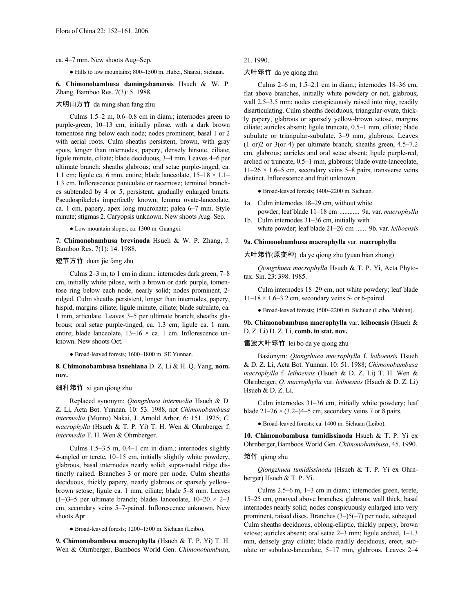#### ca. 4–7 mm. New shoots Aug–Sep.

● Hills to low mountains; 800–1500 m. Hubei, Shanxi, Sichuan.

**6. Chimonobambusa damingshanensis** Hsueh & W. P. Zhang, Bamboo Res. 7(3): 5. 1988.

# 大明山方竹 da ming shan fang zhu

Culms 1.5–2 m, 0.6–0.8 cm in diam.; internodes green to purple-green, 10–13 cm, initially pilose, with a dark brown tomentose ring below each node; nodes prominent, basal 1 or 2 with aerial roots. Culm sheaths persistent, brown, with gray spots, longer than internodes, papery, densely hirsute, ciliate; ligule minute, ciliate; blade deciduous, 3–4 mm. Leaves 4–6 per ultimate branch; sheaths glabrous; oral setae purple-tinged, ca. 1.1 cm; ligule ca. 6 mm, entire; blade lanceolate,  $15-18 \times 1.1-$ 1.3 cm. Inflorescence paniculate or racemose; terminal branches subtended by 4 or 5, persistent, gradually enlarged bracts. Pseudospikelets imperfectly known; lemma ovate-lanceolate, ca. 1 cm, papery, apex long mucronate; palea 6–7 mm. Style minute; stigmas 2. Caryopsis unknown. New shoots Aug–Sep.

● Low mountain slopes; ca. 1300 m. Guangxi.

**7. Chimonobambusa brevinoda** Hsueh & W. P. Zhang, J. Bamboo Res. 7(1): 14. 1988.

# 短节方竹 duan jie fang zhu

Culms 2–3 m, to 1 cm in diam.; internodes dark green, 7–8 cm, initially white pilose, with a brown or dark purple, tomentose ring below each node, nearly solid; nodes prominent, 2 ridged. Culm sheaths persistent, longer than internodes, papery, hispid, margins ciliate; ligule minute, ciliate; blade subulate, ca. 1 mm, articulate. Leaves 3–5 per ultimate branch; sheaths glabrous; oral setae purple-tinged, ca. 1.3 cm; ligule ca. 1 mm, entire; blade lanceolate,  $13-16 \times$  ca. 1 cm. Inflorescence unknown. New shoots Oct.

● Broad-leaved forests; 1600–1800 m. SE Yunnan.

### **8. Chimonobambusa hsuehiana** D. Z. Li & H. Q. Yang, **nom. nov.**

#### 细秆筇竹 xi gan qiong zhu

Replaced synonym: *Qiongzhuea intermedia* Hsueh & D. Z. Li, Acta Bot. Yunnan. 10: 53. 1988, not *Chimonobambusa intermedia* (Munro) Nakai, J. Arnold Arbor. 6: 151. 1925; *C. macrophylla* (Hsueh & T. P. Yi) T. H. Wen & Ohrnberger f. *intermedia* T. H. Wen & Ohrnberger.

Culms 1.5–3.5 m, 0.4–1 cm in diam.; internodes slightly 4-angled or terete, 10–15 cm, initially slightly white powdery, glabrous, basal internodes nearly solid; supra-nodal ridge distinctly raised. Branches 3 or more per node. Culm sheaths deciduous, thickly papery, nearly glabrous or sparsely yellowbrown setose; ligule ca. 1 mm, ciliate; blade 5–8 mm. Leaves (1–)3–5 per ultimate branch; blades lanceolate,  $10-20 \times 2-3$ cm, secondary veins 5–7-paired. Inflorescence unknown. New shoots Apr.

● Broad-leaved forests; 1200–1500 m. Sichuan (Leibo).

**9. Chimonobambusa macrophylla** (Hsueh & T. P. Yi) T. H. Wen & Ohrnberger, Bamboos World Gen. *Chimonobambusa*,

# 21. 1990.

# 大叶筇竹 da ye qiong zhu

Culms 2–6 m, 1.5–2.1 cm in diam.; internodes 18–36 cm, flat above branches, initially white powdery or not, glabrous; wall 2.5–3.5 mm; nodes conspicuously raised into ring, readily disarticulating. Culm sheaths deciduous, triangular-ovate, thickly papery, glabrous or sparsely yellow-brown setose, margins ciliate; auricles absent; ligule truncate, 0.5–1 mm, ciliate; blade subulate or triangular-subulate, 3–9 mm, glabrous. Leaves (1 or)2 or 3(or 4) per ultimate branch; sheaths green, 4.5–7.2 cm, glabrous; auricles and oral setae absent; ligule purple-red, arched or truncate, 0.5–1 mm, glabrous; blade ovate-lanceolate,  $11–26 \times 1.6–5$  cm, secondary veins 5–8 pairs, transverse veins distinct. Inflorescence and fruit unknown.

● Broad-leaved forests; 1400–2200 m. Sichuan.

- 1a. Culm internodes 18–29 cm, without white powder; leaf blade 11–18 cm ............ 9a. var. *macrophylla*
- 1b. Culm internodes 31–36 cm, initially with

# white powder; leaf blade 21–26 cm ...... 9b. var. *leiboensis*

# **9a. Chimonobambusa macrophylla** var. **macrophylla**

大叶筇竹(原变种) da ye qiong zhu (yuan bian zhong)

*Qiongzhuea macrophylla* Hsueh & T. P. Yi, Acta Phytotax. Sin. 23: 398. 1985.

Culm internodes 18–29 cm, not white powdery; leaf blade  $11-18 \times 1.6-3.2$  cm, secondary veins 5- or 6-paired.

● Broad-leaved forests; 1500–2200 m. Sichuan (Leibo, Mabian).

# **9b. Chimonobambusa macrophylla** var. **leiboensis** (Hsueh & D. Z. Li) D. Z. Li, **comb. in stat. nov.**

### 雷波大叶筇竹 lei bo da ye qiong zhu

Basionym: *Qiongzhuea macrophylla* f. *leiboensis* Hsueh & D. Z. Li, Acta Bot. Yunnan. 10: 51. 1988; *Chimonobambusa macrophylla* f. *leiboensis* (Hsueh & D. Z. Li) T. H. Wen & Ohrnberger; *Q. macrophylla* var. *leiboensis* (Hsueh & D. Z. Li) Hsueh & D. Z. Li.

Culm internodes 31–36 cm, initially white powdery; leaf blade  $21-26 \times (3.2-)4-5$  cm, secondary veins 7 or 8 pairs.

● Broad-leaved forests; ca. 1400 m. Sichuan (Leibo).

**10. Chimonobambusa tumidissinoda** Hsueh & T. P. Yi ex Ohrnberger,Bamboos World Gen. *Chimonobambusa*, 45. 1990.

# 筇竹 qiong zhu

*Qiongzhuea tumidissinoda* (Hsueh & T. P. Yi ex Ohrnberger) Hsueh & T. P. Yi.

Culms 2.5–6 m, 1–3 cm in diam.; internodes green, terete, 15–25 cm, grooved above branches, glabrous; wall thick, basal internodes nearly solid; nodes conspicuously enlarged into very prominent, raised discs. Branches (3–)5(–7) per node, subequal. Culm sheaths deciduous, oblong-elliptic, thickly papery, brown setose; auricles absent; oral setae 2–3 mm; ligule arched, 1–1.3 mm, densely gray ciliate; blade readily deciduous, erect, subulate or subulate-lanceolate, 5–17 mm, glabrous. Leaves 2–4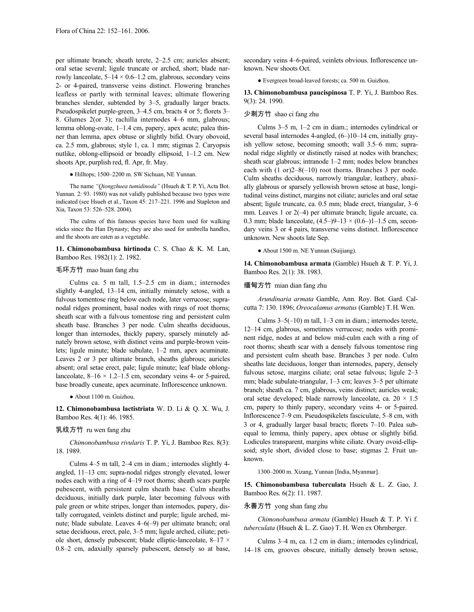per ultimate branch; sheath terete, 2–2.5 cm; auricles absent; oral setae several; ligule truncate or arched, short; blade narrowly lanceolate,  $5-14 \times 0.6-1.2$  cm, glabrous, secondary veins 2- or 4-paired, transverse veins distinct. Flowering branches leafless or partly with terminal leaves; ultimate flowering branches slender, subtended by 3–5, gradually larger bracts. Pseudospikelet purple-green, 3–4.5 cm, bracts 4 or 5; florets 3– 8. Glumes 2(or 3); rachilla internodes 4–6 mm, glabrous; lemma oblong-ovate, 1–1.4 cm, papery, apex acute; palea thinner than lemma, apex obtuse or slightly bifid. Ovary obovoid, ca. 2.5 mm, glabrous; style 1, ca. 1 mm; stigmas 2. Caryopsis nutlike, oblong-ellipsoid or broadly ellipsoid, 1–1.2 cm. New shoots Apr, purplish red, fl. Apr, fr. May.

● Hilltops; 1500–2200 m. SW Sichuan, NE Yunnan.

The name *"Qiongzhuea tumidinoda"* (Hsueh & T. P. Yi, Acta Bot. Yunnan. 2: 93. 1980) was not validly published because two types were indicated (see Hsueh et al., Taxon 45: 217–221. 1996 and Stapleton and Xia, Taxon 53: 526–528. 2004).

The culms of this famous species have been used for walking sticks since the Han Dynasty; they are also used for umbrella handles, and the shoots are eaten as a vegetable.

**11. Chimonobambusa hirtinoda** C. S. Chao & K. M. Lan, Bamboo Res. 1982(1): 2. 1982.

### 毛环方竹 mao huan fang zhu

Culms ca. 5 m tall, 1.5–2.5 cm in diam.; internodes slightly 4-angled, 13–14 cm, initially minutely setose, with a fulvous tomentose ring below each node, later verrucose; supranodal ridges prominent, basal nodes with rings of root thorns; sheath scar with a fulvous tomentose ring and persistent culm sheath base. Branches 3 per node. Culm sheaths deciduous, longer than internodes, thickly papery, sparsely minutely adnately brown setose, with distinct veins and purple-brown veinlets; ligule minute; blade subulate, 1–2 mm, apex acuminate. Leaves 2 or 3 per ultimate branch, sheaths glabrous; auricles absent; oral setae erect, pale; ligule minute; leaf blade oblonglanceolate,  $8-16 \times 1.2-1.5$  cm, secondary veins 4- or 5-paired, base broadly cuneate, apex acuminate. Inflorescence unknown.

● About 1100 m. Guizhou.

**12. Chimonobambusa lactistriata** W. D. Li & Q. X. Wu, J. Bamboo Res. 4(1): 46. 1985.

### 乳纹方竹 ru wen fang zhu

*Chimonobambusa rivularis* T. P. Yi, J. Bamboo Res. 8(3): 18. 1989.

Culms 4–5 m tall, 2–4 cm in diam.; internodes slightly 4 angled, 11–13 cm; supra-nodal ridges strongly elevated, lower nodes each with a ring of 4–19 root thorns; sheath scars purple pubescent, with persistent culm sheath base. Culm sheaths deciduous, initially dark purple, later becoming fulvous with pale green or white stripes, longer than internodes, papery, distally corrugated, veinlets distinct and purple; ligule arched, minute; blade subulate. Leaves 4–6(–9) per ultimate branch; oral setae deciduous, erect, pale, 3–5 mm; ligule arched, ciliate; petiole short, densely pubescent; blade elliptic-lanceolate, 8–17 × 0.8–2 cm, adaxially sparsely pubescent, densely so at base, secondary veins 4–6-paired, veinlets obvious. Inflorescence unknown. New shoots Oct.

● Evergreen broad-leaved forests; ca. 500 m. Guizhou.

**13. Chimonobambusa paucispinosa** T. P. Yi, J. Bamboo Res. 9(3): 24. 1990.

# 少刺方竹 shao ci fang zhu

Culms 3–5 m, 1–2 cm in diam.; internodes cylindrical or several basal internodes 4-angled,  $(6-)10-14$  cm, initially grayish yellow setose, becoming smooth; wall 3.5–6 mm; supranodal ridge slightly or distinctly raised at nodes with branches; sheath scar glabrous; intranode 1–2 mm; nodes below branches each with (1 or)2–8(–10) root thorns. Branches 3 per node. Culm sheaths deciduous, narrowly triangular, leathery, abaxially glabrous or sparsely yellowish brown setose at base, longitudinal veins distinct, margins not ciliate; auricles and oral setae absent; ligule truncate, ca. 0.5 mm; blade erect, triangular, 3–6 mm. Leaves 1 or 2(–4) per ultimate branch; ligule arcuate, ca. 0.3 mm; blade lanceolate,  $(4.5-99-13 \times (0.6-11-1.5 \text{ cm}, \text{second} - 1.5 \text{ cm})$ dary veins 3 or 4 pairs, transverse veins distinct. Inflorescence unknown. New shoots late Sep.

● About 1500 m. NE Yunnan (Suijiang).

**14. Chimonobambusa armata** (Gamble) Hsueh & T. P. Yi, J. Bamboo Res. 2(1): 38. 1983.

# 缅甸方竹 mian dian fang zhu

*Arundinaria armata* Gamble, Ann. Roy. Bot. Gard. Calcutta 7: 130. 1896; *Oreocalamus armatus* (Gamble) T.H.Wen.

Culms  $3-5(-10)$  m tall,  $1-3$  cm in diam.; internodes terete, 12–14 cm, glabrous, sometimes verrucose; nodes with prominent ridge, nodes at and below mid-culm each with a ring of root thorns; sheath scar with a densely fulvous tomentose ring and persistent culm sheath base. Branches 3 per node. Culm sheaths late deciduous, longer than internodes, papery, densely fulvous setose, margins ciliate; oral setae fulvous; ligule 2–3 mm; blade subulate-triangular, 1–3 cm; leaves 3–5 per ultimate branch; sheath ca. 7 cm, glabrous, veins distinct; auricles weak; oral setae developed; blade narrowly lanceolate, ca.  $20 \times 1.5$ cm, papery to thinly papery, secondary veins 4- or 5-paired. Inflorescence7–9 cm. Pseudospikelets fasciculate, 5–8 cm, with 3 or 4, gradually larger basal bracts; florets 7–10. Palea subequal to lemma, thinly papery, apex obtuse or slightly bifid. Lodicules transparent, margins white ciliate. Ovary ovoid-ellipsoid; style short, divided close to base; stigmas 2. Fruit unknown.

1300–2000 m. Xizang, Yunnan [India, Myanmar].

**15. Chimonobambusa tuberculata** Hsueh & L. Z. Gao, J. Bamboo Res. 6(2): 11. 1987.

### 永善方竹 yong shan fang zhu

*Chimonobambusa armata* (Gamble) Hsueh & T. P. Yi f. *tuberculata* (Hsueh & L. Z. Gao) T. H. Wen ex Ohrnberger.

Culms 3–4 m, ca. 1.2 cm in diam.; internodes cylindrical, 14–18 cm, grooves obscure, initially densely brown setose,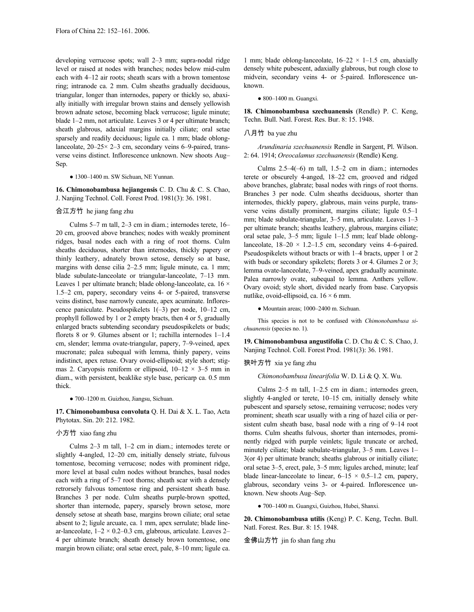developing verrucose spots; wall 2–3 mm; supra-nodal ridge level or raised at nodes with branches; nodes below mid-culm each with 4–12 air roots; sheath scars with a brown tomentose ring; intranode ca. 2 mm. Culm sheaths gradually deciduous, triangular, longer than internodes, papery or thickly so, abaxially initially with irregular brown stains and densely yellowish brown adnate setose, becoming black verrucose; ligule minute; blade 1–2 mm, not articulate. Leaves 3 or 4 per ultimate branch; sheath glabrous, adaxial margins initially ciliate; oral setae sparsely and readily deciduous; ligule ca. 1 mm; blade oblonglanceolate, 20–25× 2–3 cm, secondary veins 6–9-paired, transverse veins distinct. Inflorescence unknown. New shoots Aug– Sep.

#### ● 1300–1400 m. SW Sichuan, NE Yunnan.

**16. Chimonobambusa hejiangensis** C. D. Chu & C. S. Chao, J. Nanjing Technol. Coll. Forest Prod. 1981(3): 36. 1981.

# 合江方竹 he jiang fang zhu

Culms 5–7 m tall, 2–3 cm in diam.; internodes terete, 16– 20 cm, grooved above branches; nodes with weakly prominent ridges, basal nodes each with a ring of root thorns. Culm sheaths deciduous, shorter than internodes, thickly papery or thinly leathery, adnately brown setose, densely so at base, margins with dense cilia 2–2.5 mm; ligule minute, ca. 1 mm; blade subulate-lanceolate or triangular-lanceolate, 7–13 mm. Leaves 1 per ultimate branch; blade oblong-lanceolate, ca. 16  $\times$ 1.5–2 cm, papery, secondary veins 4- or 5-paired, transverse veins distinct, base narrowly cuneate, apex acuminate. Inflorescence paniculate. Pseudospikelets 1(–3) per node, 10–12 cm, prophyll followed by 1 or 2 empty bracts, then 4 or 5, gradually enlarged bracts subtending secondary pseudospikelets or buds; florets 8 or 9. Glumes absent or 1; rachilla internodes 1–1.4 cm, slender; lemma ovate-triangular, papery, 7–9-veined, apex mucronate; palea subequal with lemma, thinly papery, veins indistinct, apex retuse. Ovary ovoid-ellipsoid; style short; stigmas 2. Caryopsis reniform or ellipsoid,  $10-12 \times 3-5$  mm in diam., with persistent, beaklike style base, pericarp ca. 0.5 mm thick.

● 700–1200 m. Guizhou, Jiangsu, Sichuan.

**17. Chimonobambusa convoluta** Q. H. Dai & X. L. Tao, Acta Phytotax. Sin. 20: 212. 1982.

# 小方竹 xiao fang zhu

Culms 2–3 m tall, 1–2 cm in diam.; internodes terete or slightly 4-angled, 12–20 cm, initially densely striate, fulvous tomentose, becoming verrucose; nodes with prominent ridge, more level at basal culm nodes without branches, basal nodes each with a ring of 5–7 root thorns; sheath scar with a densely retrorsely fulvous tomentose ring and persistent sheath base. Branches 3 per node. Culm sheaths purple-brown spotted, shorter than internode, papery, sparsely brown setose, more densely setose at sheath base, margins brown ciliate; oral setae absent to 2; ligule arcuate, ca. 1 mm, apex serrulate; blade linear-lanceolate,  $1-2 \times 0.2-0.3$  cm, glabrous, articulate. Leaves 2-4 per ultimate branch; sheath densely brown tomentose, one margin brown ciliate; oral setae erect, pale, 8–10 mm; ligule ca.

1 mm; blade oblong-lanceolate,  $16-22 \times 1-1.5$  cm, abaxially densely white pubescent, adaxially glabrous, but rough close to midvein, secondary veins 4- or 5-paired. Inflorescence unknown.

#### ● 800–1400 m. Guangxi.

**18. Chimonobambusa szechuanensis** (Rendle) P. C. Keng, Techn. Bull. Natl. Forest. Res. Bur. 8: 15. 1948.

# 八月竹 ba yue zhu

*Arundinaria szechuanensis* Rendle in Sargent, Pl. Wilson. 2: 64. 1914; *Oreocalamus szechuanensis* (Rendle) Keng.

Culms 2.5–4(–6) m tall, 1.5–2 cm in diam.; internodes terete or obscurely 4-anged, 18–22 cm, grooved and ridged above branches, glabrate; basal nodes with rings of root thorns. Branches 3 per node. Culm sheaths deciduous, shorter than internodes, thickly papery, glabrous, main veins purple, transverse veins distally prominent, margins ciliate; ligule 0.5–1 mm; blade subulate-triangular, 3–5 mm, articulate. Leaves 1–3 per ultimate branch; sheaths leathery, glabrous, margins ciliate; oral setae pale, 3–5 mm; ligule 1–1.5 mm; leaf blade oblonglanceolate,  $18-20 \times 1.2-1.5$  cm, secondary veins 4-6-paired. Pseudospikelets without bracts or with 1–4 bracts, upper 1 or 2 with buds or secondary spikelets; florets 3 or 4. Glumes 2 or 3; lemma ovate-lanceolate, 7–9-veined, apex gradually acuminate. Palea narrowly ovate, subequal to lemma. Anthers yellow. Ovary ovoid; style short, divided nearly from base. Caryopsis nutlike, ovoid-ellipsoid, ca.  $16 \times 6$  mm.

● Mountain areas; 1000–2400 m. Sichuan.

This species is not to be confused with *Chimonobambusa sichuanensis* (species no. 1).

**19. Chimonobambusa angustifolia** C. D. Chu & C. S. Chao, J. Nanjing Technol. Coll. Forest Prod. 1981(3): 36. 1981.

#### 狭叶方竹 xia ye fang zhu

*Chimonobambusa linearifolia* W. D. Li & Q. X. Wu.

Culms 2–5 m tall, 1–2.5 cm in diam.; internodes green, slightly 4-angled or terete, 10–15 cm, initially densely white pubescent and sparsely setose, remaining verrucose; nodes very prominent; sheath scar usually with a ring of hazel cilia or persistent culm sheath base, basal node with a ring of 9–14 root thorns. Culm sheaths fulvous, shorter than internodes, prominently ridged with purple veinlets; ligule truncate or arched, minutely ciliate; blade subulate-triangular, 3–5 mm. Leaves 1– 3(or 4) per ultimate branch; sheaths glabrous or initially ciliate; oral setae 3–5, erect, pale, 3–5 mm; ligules arched, minute; leaf blade linear-lanceolate to linear,  $6-15 \times 0.5-1.2$  cm, papery, glabrous, secondary veins 3- or 4-paired. Inflorescence unknown. New shoots Aug–Sep.

● 700–1400 m. Guangxi, Guizhou, Hubei, Shanxi.

**20. Chimonobambusa utilis** (Keng) P. C. Keng, Techn. Bull. Natl. Forest. Res. Bur. 8: 15. 1948.

# 金佛山方竹 jin fo shan fang zhu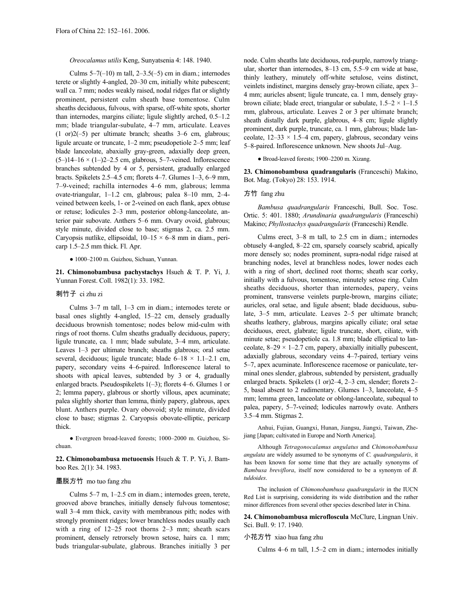# *Oreocalamus utilis* Keng, Sunyatsenia 4: 148. 1940.

Culms  $5-7(-10)$  m tall,  $2-3.5(-5)$  cm in diam.; internodes terete or slightly 4-angled, 20–30 cm, initially white pubescent; wall ca. 7 mm; nodes weakly raised, nodal ridges flat or slightly prominent, persistent culm sheath base tomentose. Culm sheaths deciduous, fulvous, with sparse, off-white spots, shorter than internodes, margins ciliate; ligule slightly arched, 0.5–1.2 mm; blade triangular-subulate, 4–7 mm, articulate. Leaves (1 or)2(–5) per ultimate branch; sheaths 3–6 cm, glabrous; ligule arcuate or truncate, 1–2 mm; pseudopetiole 2–5 mm; leaf blade lanceolate, abaxially gray-green, adaxially deep green,  $(5-)14-16 \times (1-)2-2.5$  cm, glabrous, 5-7-veined. Inflorescence branches subtended by 4 or 5, persistent, gradually enlarged bracts. Spikelets 2.5–4.5 cm; florets 4–7. Glumes 1–3, 6–9 mm, 7–9-veined; rachilla internodes 4–6 mm, glabrous; lemma ovate-triangular, 1–1.2 cm, glabrous; palea 8–10 mm, 2–4 veined between keels, 1- or 2-veined on each flank, apex obtuse or retuse; lodicules 2–3 mm, posterior oblong-lanceolate, anterior pair subovate. Anthers 5–6 mm. Ovary ovoid, glabrous; style minute, divided close to base; stigmas 2, ca. 2.5 mm. Caryopsis nutlike, ellipsoidal,  $10-15 \times 6-8$  mm in diam., pericarp 1.5–2.5 mm thick. Fl. Apr.

#### ● 1000–2100 m. Guizhou, Sichuan, Yunnan.

**21. Chimonobambusa pachystachys** Hsueh & T. P. Yi, J. Yunnan Forest. Coll. 1982(1): 33. 1982.

### 刺竹子 ci zhu zi

Culms 3–7 m tall, 1–3 cm in diam.; internodes terete or basal ones slightly 4-angled, 15–22 cm, densely gradually deciduous brownish tomentose; nodes below mid-culm with rings of root thorns. Culm sheaths gradually deciduous, papery; ligule truncate, ca. 1 mm; blade subulate, 3–4 mm, articulate. Leaves 1–3 per ultimate branch; sheaths glabrous; oral setae several, deciduous; ligule truncate; blade  $6-18 \times 1.1-2.1$  cm, papery, secondary veins 4–6-paired. Inflorescence lateral to shoots with apical leaves, subtended by 3 or 4, gradually enlarged bracts. Pseudospikelets 1(–3); florets 4–6. Glumes 1 or 2; lemma papery, glabrous or shortly villous, apex acuminate; palea slightly shorter than lemma, thinly papery, glabrous, apex blunt. Anthers purple. Ovary obovoid; style minute, divided close to base; stigmas 2. Caryopsis obovate-elliptic, pericarp thick.

● Evergreen broad-leaved forests; 1000–2000 m. Guizhou, Sichuan.

**22. Chimonobambusa metuoensis** Hsueh & T. P. Yi, J. Bamboo Res. 2(1): 34. 1983.

#### 墨脱方竹 mo tuo fang zhu

Culms 5–7 m, 1–2.5 cm in diam.; internodes green, terete, grooved above branches, initially densely fulvous tomentose; wall 3–4 mm thick, cavity with membranous pith; nodes with strongly prominent ridges; lower branchless nodes usually each with a ring of  $12-25$  root thorns  $2-3$  mm; sheath scars prominent, densely retrorsely brown setose, hairs ca. 1 mm; buds triangular-subulate, glabrous. Branches initially 3 per node. Culm sheaths late deciduous, red-purple, narrowly triangular, shorter than internodes, 8–13 cm, 5.5–9 cm wide at base, thinly leathery, minutely off-white setulose, veins distinct, veinlets indistinct, margins densely gray-brown ciliate, apex 3– 4 mm; auricles absent; ligule truncate, ca. 1 mm, densely graybrown ciliate; blade erect, triangular or subulate,  $1.5-2 \times 1-1.5$ mm, glabrous, articulate. Leaves 2 or 3 per ultimate branch; sheath distally dark purple, glabrous, 4–8 cm; ligule slightly prominent, dark purple, truncate, ca. 1 mm, glabrous; blade lanceolate,  $12-33 \times 1.5-4$  cm, papery, glabrous, secondary veins 5–8-paired. Inflorescence unknown. New shoots Jul–Aug.

● Broad-leaved forests; 1900–2200 m. Xizang.

**23. Chimonobambusa quadrangularis** (Franceschi) Makino, Bot. Mag. (Tokyo) 28: 153. 1914.

#### 方竹 fang zhu

*Bambusa quadrangularis* Franceschi, Bull. Soc. Tosc. Ortic. 5: 401. 1880; *Arundinaria quadrangularis* (Franceschi) Makino; *Phyllostachys quadrangularis* (Franceschi) Rendle.

Culms erect, 3–8 m tall, to 2.5 cm in diam.; internodes obtusely 4-angled, 8–22 cm, sparsely coarsely scabrid, apically more densely so; nodes prominent, supra-nodal ridge raised at branching nodes, level at branchless nodes, lower nodes each with a ring of short, declined root thorns; sheath scar corky, initially with a fulvous, tomentose, minutely setose ring. Culm sheaths deciduous, shorter than internodes, papery, veins prominent, transverse veinlets purple-brown, margins ciliate; auricles, oral setae, and ligule absent; blade deciduous, subulate, 3–5 mm, articulate. Leaves 2–5 per ultimate branch; sheaths leathery, glabrous, margins apically ciliate; oral setae deciduous, erect, glabrate; ligule truncate, short, ciliate, with minute setae; pseudopetiole ca. 1.8 mm; blade elliptical to lanceolate,  $8-29 \times 1-2.7$  cm, papery, abaxially initially pubescent, adaxially glabrous, secondary veins 4–7-paired, tertiary veins 5–7, apex acuminate. Inflorescence racemose or paniculate, terminal ones slender, glabrous, subtended by persistent, gradually enlarged bracts. Spikelets (1 or)2–4, 2–3 cm, slender; florets 2– 5, basal absent to 2 rudimentary. Glumes 1–3, lanceolate, 4–5 mm; lemma green, lanceolate or oblong-lanceolate, subequal to palea, papery, 5–7-veined; lodicules narrowly ovate. Anthers 3.5–4 mm. Stigmas 2.

Anhui, Fujian, Guangxi, Hunan, Jiangsu, Jiangxi, Taiwan, Zhejiang [Japan; cultivated in Europe and North America].

Although *Tetragonocalamus angulatus* and *Chimonobambusa angulata* are widely assumed to be synonyms of *C. quadrangularis*, it has been known for some time that they are actually synonyms of *Bambusa breviflora*, itself now considered to be a synonym of *B. tuldoides*.

The inclusion of *Chimonobambusa quadrangularis* in the IUCN Red List is surprising, considering its wide distribution and the rather minor differences from several other species described later in China.

**24. Chimonobambusa microfloscula** McClure, Lingnan Univ. Sci. Bull. 9: 17. 1940.

# 小花方竹 xiao hua fang zhu

Culms 4–6 m tall, 1.5–2 cm in diam.; internodes initially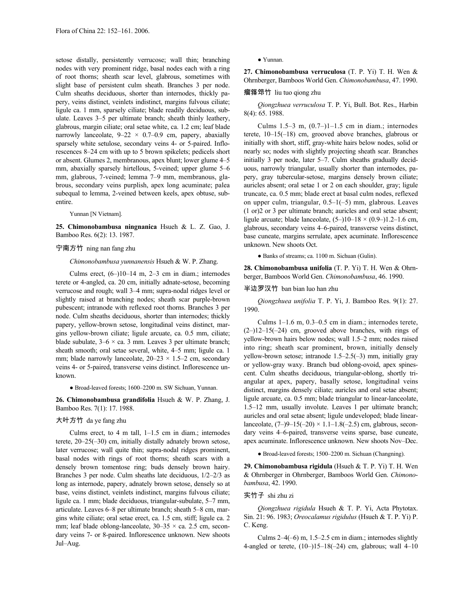setose distally, persistently verrucose; wall thin; branching nodes with very prominent ridge, basal nodes each with a ring of root thorns; sheath scar level, glabrous, sometimes with slight base of persistent culm sheath. Branches 3 per node. Culm sheaths deciduous, shorter than internodes, thickly papery, veins distinct, veinlets indistinct, margins fulvous ciliate; ligule ca. 1 mm, sparsely ciliate; blade readily deciduous, subulate. Leaves 3–5 per ultimate branch; sheath thinly leathery, glabrous, margin ciliate; oral setae white, ca. 1.2 cm; leaf blade narrowly lanceolate,  $9-22 \times 0.7-0.9$  cm, papery, abaxially sparsely white setulose, secondary veins 4- or 5-paired. Inflorescences 8–24 cm with up to 5 brown spikelets; pedicels short or absent. Glumes 2, membranous, apex blunt; lower glume 4–5 mm, abaxially sparsely hirtellous, 5-veined; upper glume 5–6 mm, glabrous, 7-veined; lemma 7–9 mm, membranous, glabrous, secondary veins purplish, apex long acuminate; palea subequal to lemma, 2-veined between keels, apex obtuse, subentire.

Yunnan [N Vietnam].

**25. Chimonobambusa ningnanica** Hsueh & L. Z. Gao, J. Bamboo Res. 6(2): 13. 1987.

#### 宁南方竹 ning nan fang zhu

#### *Chimonobambusa yunnanensis* Hsueh & W. P. Zhang.

Culms erect,  $(6-)10-14$  m,  $2-3$  cm in diam.; internodes terete or 4-angled, ca. 20 cm, initially adnate-setose, becoming verrucose and rough; wall 3–4 mm; supra-nodal ridges level or slightly raised at branching nodes; sheath scar purple-brown pubescent; intranode with reflexed root thorns. Branches 3 per node. Culm sheaths deciduous, shorter than internodes; thickly papery, yellow-brown setose, longitudinal veins distinct, margins yellow-brown ciliate; ligule arcuate, ca. 0.5 mm, ciliate; blade subulate,  $3-6 \times$  ca. 3 mm. Leaves 3 per ultimate branch; sheath smooth; oral setae several, white, 4–5 mm; ligule ca. 1 mm; blade narrowly lanceolate,  $20-23 \times 1.5-2$  cm, secondary veins 4- or 5-paired, transverse veins distinct. Inflorescence unknown.

● Broad-leaved forests; 1600–2200 m. SW Sichuan, Yunnan.

**26. Chimonobambusa grandifolia** Hsueh & W. P. Zhang, J. Bamboo Res. 7(1): 17. 1988.

# 大叶方竹 da ye fang zhu

Culms erect, to 4 m tall, 1–1.5 cm in diam.; internodes terete, 20–25(–30) cm, initially distally adnately brown setose, later verrucose; wall quite thin; supra-nodal ridges prominent, basal nodes with rings of root thorns; sheath scars with a densely brown tomentose ring; buds densely brown hairy. Branches 3 per node. Culm sheaths late deciduous, 1/2–2/3 as long as internode, papery, adnately brown setose, densely so at base, veins distinct, veinlets indistinct, margins fulvous ciliate; ligule ca. 1 mm; blade deciduous, triangular-subulate, 5–7 mm, articulate. Leaves 6–8 per ultimate branch; sheath 5–8 cm, margins white ciliate; oral setae erect, ca. 1.5 cm, stiff; ligule ca. 2 mm; leaf blade oblong-lanceolate,  $30-35 \times$  ca. 2.5 cm, secondary veins 7- or 8-paired. Inflorescence unknown. New shoots Jul–Aug.

● Yunnan.

**27. Chimonobambusa verruculosa** (T. P. Yi) T. H. Wen & Ohrnberger, Bamboos World Gen. *Chimonobambusa*, 47. 1990.

#### 瘤箨筇竹 liu tuo qiong zhu

*Qiongzhuea verruculosa* T. P. Yi, Bull. Bot. Res., Harbin 8(4): 65. 1988.

Culms  $1.5-3$  m,  $(0.7-1)1-1.5$  cm in diam.; internodes terete, 10–15(–18) cm, grooved above branches, glabrous or initially with short, stiff, gray-white hairs below nodes, solid or nearly so; nodes with slightly projecting sheath scar. Branches initially 3 per node, later 5–7. Culm sheaths gradually deciduous, narrowly triangular, usually shorter than internodes, papery, gray tubercular-setose, margins densely brown ciliate; auricles absent; oral setae 1 or 2 on each shoulder, gray; ligule truncate, ca. 0.5 mm; blade erect at basal culm nodes, reflexed on upper culm, triangular, 0.5–1(–5) mm, glabrous. Leaves (1 or)2 or 3 per ultimate branch; auricles and oral setae absent; ligule arcuate; blade lanceolate,  $(5-)10-18 \times (0.9-)1.2-1.6$  cm, glabrous, secondary veins 4–6-paired, transverse veins distinct, base cuneate, margins serrulate, apex acuminate. Inflorescence unknown. New shoots Oct.

● Banks of streams; ca. 1100 m. Sichuan (Gulin).

**28. Chimonobambusa unifolia** (T. P. Yi) T. H. Wen & Ohrnberger, Bamboos World Gen. *Chimonobambusa*, 46. 1990.

# 半边罗汉竹 ban bian luo han zhu

*Qiongzhuea unifolia* T. P. Yi, J. Bamboo Res. 9(1): 27. 1990.

Culms 1–1.6 m, 0.3–0.5 cm in diam.; internodes terete,  $(2-)12-15(-24)$  cm, grooved above branches, with rings of yellow-brown hairs below nodes; wall 1.5–2 mm; nodes raised into ring; sheath scar prominent, brown, initially densely yellow-brown setose; intranode 1.5–2.5(–3) mm, initially gray or yellow-gray waxy. Branch bud oblong-ovoid, apex spinescent. Culm sheaths deciduous, triangular-oblong, shortly triangular at apex, papery, basally setose, longitudinal veins distinct, margins densely ciliate; auricles and oral setae absent; ligule arcuate, ca. 0.5 mm; blade triangular to linear-lanceolate, 1.5–12 mm, usually involute. Leaves l per ultimate branch; auricles and oral setae absent; ligule undeveloped; blade linearlanceolate,  $(7-9-15(-20) \times 1.1-1.8(-2.5)$  cm, glabrous, secondary veins 4–6-paired, transverse veins sparse, base cuneate, apex acuminate. Inflorescence unknown. New shoots Nov–Dec.

● Broad-leaved forests; 1500–2200 m. Sichuan (Changning).

**29. Chimonobambusa rigidula** (Hsueh & T. P. Yi) T. H. Wen & Ohrnberger in Ohrnberger, Bamboos World Gen. *Chimonobambusa*, 42. 1990.

# 实竹子 shi zhu zi

*Qiongzhuea rigidula* Hsueh & T. P. Yi, Acta Phytotax. Sin. 21: 96. 1983; *Oreocalamus rigidulus* (Hsueh & T. P. Yi) P. C. Keng.

Culms  $2-4(-6)$  m,  $1.5-2.5$  cm in diam.; internodes slightly 4-angled or terete,  $(10-)15-18(-24)$  cm, glabrous; wall  $4-10$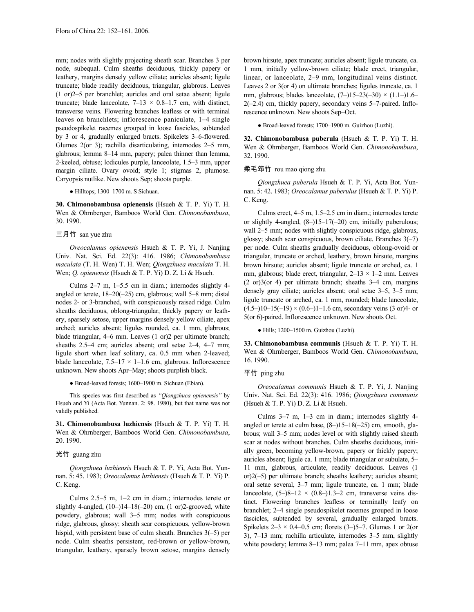mm; nodes with slightly projecting sheath scar. Branches 3 per node, subequal. Culm sheaths deciduous, thickly papery or leathery, margins densely yellow ciliate; auricles absent; ligule truncate; blade readily deciduous, triangular, glabrous. Leaves (1 or)2–5 per branchlet; auricles and oral setae absent; ligule truncate; blade lanceolate,  $7-13 \times 0.8-1.7$  cm, with distinct, transverse veins. Flowering branches leafless or with terminal leaves on branchlets; inflorescence paniculate, 1–4 single pseudospikelet racemes grouped in loose fascicles, subtended by 3 or 4, gradually enlarged bracts. Spikelets 3–6-flowered. Glumes 2(or 3); rachilla disarticulating, internodes 2–5 mm, glabrous; lemma 8–14 mm, papery; palea thinner than lemma, 2-keeled, obtuse; lodicules purple, lanceolate, 1.5–3 mm, upper margin ciliate. Ovary ovoid; style 1; stigmas 2, plumose. Caryopsis nutlike. New shoots Sep; shoots purple.

● Hilltops; 1300–1700 m. S Sichuan.

**30. Chimonobambusa opienensis** (Hsueh & T. P. Yi) T. H. Wen & Ohrnberger, Bamboos World Gen. *Chimonobambusa*, 30. 1990.

# 三月竹 san yue zhu

*Oreocalamus opienensis* Hsueh & T. P. Yi, J. Nanjing Univ. Nat. Sci. Ed. 22(3): 416. 1986; *Chimonobambusa maculata* (T. H. Wen) T. H. Wen; *Qiongzhuea maculata* T. H. Wen; *Q. opienensis* (Hsueh & T. P. Yi) D. Z. Li & Hsueh.

Culms 2–7 m, 1–5.5 cm in diam.; internodes slightly 4 angled or terete, 18–20(–25) cm, glabrous; wall 5–8 mm; distal nodes 2- or 3-branched, with conspicuously raised ridge. Culm sheaths deciduous, oblong-triangular, thickly papery or leathery, sparsely setose, upper margins densely yellow ciliate, apex arched; auricles absent; ligules rounded, ca. 1 mm, glabrous; blade triangular, 4–6 mm. Leaves (1 or)2 per ultimate branch; sheaths 2.5–4 cm; auricles absent; oral setae 2–4, 4–7 mm; ligule short when leaf solitary, ca. 0.5 mm when 2-leaved; blade lanceolate,  $7.5-17 \times 1-1.6$  cm, glabrous. Inflorescence unknown. New shoots Apr–May; shoots purplish black.

● Broad-leaved forests; 1600–1900 m. Sichuan (Ebian).

This species was first described as *"Qiongzhuea opienensis"* by Hsueh and Yi (Acta Bot. Yunnan. 2: 98. 1980), but that name was not validly published.

**31. Chimonobambusa luzhiensis** (Hsueh & T. P. Yi) T. H. Wen & Ohrnberger, Bamboos World Gen. *Chimonobambusa*, 20. 1990.

#### 光竹 guang zhu

*Qiongzhuea luzhiensis* Hsueh & T. P. Yi, Acta Bot. Yunnan. 5: 45. 1983; *Oreocalamus luzhiensis* (Hsueh & T. P. Yi) P. C. Keng.

Culms 2.5–5 m, 1–2 cm in diam.; internodes terete or slightly 4-angled,  $(10-)14-18(-20)$  cm,  $(1 \text{ or})2$ -grooved, white powdery, glabrous; wall 3–5 mm; nodes with conspicuous ridge, glabrous, glossy; sheath scar conspicuous, yellow-brown hispid, with persistent base of culm sheath. Branches  $3(-5)$  per node. Culm sheaths persistent, red-brown or yellow-brown, triangular, leathery, sparsely brown setose, margins densely brown hirsute, apex truncate; auricles absent; ligule truncate, ca. 1 mm, initially yellow-brown ciliate; blade erect, triangular, linear, or lanceolate, 2–9 mm, longitudinal veins distinct. Leaves 2 or 3(or 4) on ultimate branches; ligules truncate, ca. 1 mm, glabrous; blades lanceolate,  $(7-)15-23(-30) \times (1.1-)1.6 2(-2.4)$  cm, thickly papery, secondary veins  $5-7$ -paired. Inflorescence unknown. New shoots Sep–Oct.

● Broad-leaved forests; 1700–1900 m. Guizhou (Luzhi).

**32. Chimonobambusa puberula** (Hsueh & T. P. Yi) T. H. Wen & Ohrnberger, Bamboos World Gen. *Chimonobambusa*, 32. 1990.

# 柔毛筇竹 rou mao qiong zhu

*Qiongzhuea puberula* Hsueh & T. P. Yi, Acta Bot. Yunnan. 5: 42. 1983; *Oreocalamus puberulus* (Hsueh & T. P. Yi) P. C. Keng.

Culms erect, 4–5 m, 1.5–2.5 cm in diam.; internodes terete or slightly 4-angled, (8–)15–17(–20) cm, initially puberulous; wall 2–5 mm; nodes with slightly conspicuous ridge, glabrous, glossy; sheath scar conspicuous, brown ciliate. Branches  $3(-7)$ per node. Culm sheaths gradually deciduous, oblong-ovoid or triangular, truncate or arched, leathery, brown hirsute, margins brown hirsute; auricles absent; ligule truncate or arched, ca. 1 mm, glabrous; blade erect, triangular,  $2-13 \times 1-2$  mm. Leaves (2 or)3(or 4) per ultimate branch; sheaths 3–4 cm, margins densely gray ciliate; auricles absent; oral setae 3–5, 3–5 mm; ligule truncate or arched, ca. 1 mm, rounded; blade lanceolate,  $(4.5-)10-15(-19) \times (0.6-)1-1.6$  cm, secondary veins  $(3 \text{ or } 4-$ or 5(or 6)-paired. Inflorescence unknown. New shoots Oct.

# ● Hills; 1200–1500 m. Guizhou (Luzhi).

**33. Chimonobambusa communis** (Hsueh & T. P. Yi) T. H. Wen & Ohrnberger, Bamboos World Gen. *Chimonobambusa*, 16. 1990.

## 平竹 ping zhu

*Oreocalamus communis* Hsueh & T. P. Yi, J. Nanjing Univ. Nat. Sci. Ed. 22(3): 416. 1986; *Qiongzhuea communis* (Hsueh & T. P. Yi) D. Z. Li & Hsueh.

Culms 3–7 m, 1–3 cm in diam.; internodes slightly 4 angled or terete at culm base, (8–)15–18(–25) cm, smooth, glabrous; wall 3–5 mm; nodes level or with slightly raised sheath scar at nodes without branches. Culm sheaths deciduous, initially green, becoming yellow-brown, papery or thickly papery; auricles absent; ligule ca. 1 mm; blade triangular or subulate, 5– 11 mm, glabrous, articulate, readily deciduous. Leaves (1 or)2(–5) per ultimate branch; sheaths leathery; auricles absent; oral setae several, 3–7 mm; ligule truncate, ca. 1 mm; blade lanceolate,  $(5-)8-12 \times (0.8-)1.3-2$  cm, transverse veins distinct. Flowering branches leafless or terminally leafy on branchlet; 2–4 single pseudospikelet racemes grouped in loose fascicles, subtended by several, gradually enlarged bracts. Spikelets  $2-3 \times 0.4-0.5$  cm; florets  $(3-)5-7$ . Glumes 1 or 2(or 3), 7–13 mm; rachilla articulate, internodes 3–5 mm, slightly white powdery; lemma 8–13 mm; palea 7–11 mm, apex obtuse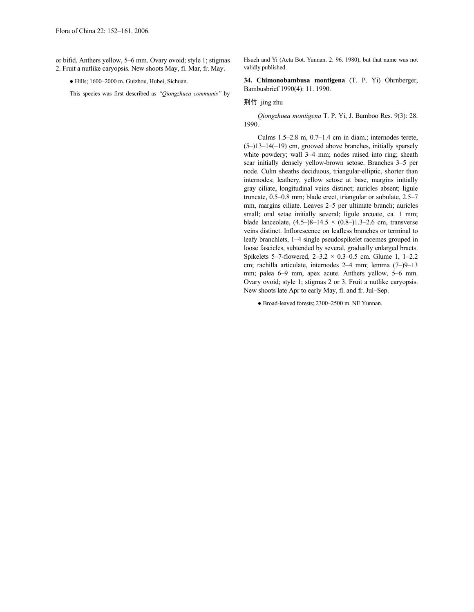or bifid. Anthers yellow, 5–6 mm. Ovary ovoid; style 1; stigmas 2. Fruit a nutlike caryopsis. New shoots May, fl. Mar, fr. May.

● Hills; 1600–2000 m. Guizhou, Hubei, Sichuan.

This species was first described as *"Qiongzhuea communis"* by

Hsueh and Yi (Acta Bot. Yunnan. 2: 96. 1980), but that name was not validly published.

**34. Chimonobambusa montigena** (T. P. Yi) Ohrnberger, Bambusbrief 1990(4): 11. 1990.

#### 荆竹 jing zhu

*Qiongzhuea montigena* T. P. Yi, J. Bamboo Res. 9(3): 28. 1990.

Culms 1.5–2.8 m, 0.7–1.4 cm in diam.; internodes terete,  $(5-113-14(-19)$  cm, grooved above branches, initially sparsely white powdery; wall 3–4 mm; nodes raised into ring; sheath scar initially densely yellow-brown setose. Branches 3–5 per node. Culm sheaths deciduous, triangular-elliptic, shorter than internodes; leathery, yellow setose at base, margins initially gray ciliate, longitudinal veins distinct; auricles absent; ligule truncate, 0.5–0.8 mm; blade erect, triangular or subulate, 2.5–7 mm, margins ciliate. Leaves 2–5 per ultimate branch; auricles small; oral setae initially several; ligule arcuate, ca. 1 mm; blade lanceolate,  $(4.5-8-14.5 \times (0.8-11.3-2.6$  cm, transverse veins distinct. Inflorescence on leafless branches or terminal to leafy branchlets, 1–4 single pseudospikelet racemes grouped in loose fascicles, subtended by several, gradually enlarged bracts. Spikelets 5–7-flowered,  $2-3.2 \times 0.3-0.5$  cm. Glume 1, 1–2.2 cm; rachilla articulate, internodes 2–4 mm; lemma (7–)9–13 mm; palea 6–9 mm, apex acute. Anthers yellow, 5–6 mm. Ovary ovoid; style 1; stigmas 2 or 3. Fruit a nutlike caryopsis. New shoots late Apr to early May, fl. and fr. Jul–Sep.

● Broad-leaved forests; 2300–2500 m. NE Yunnan.